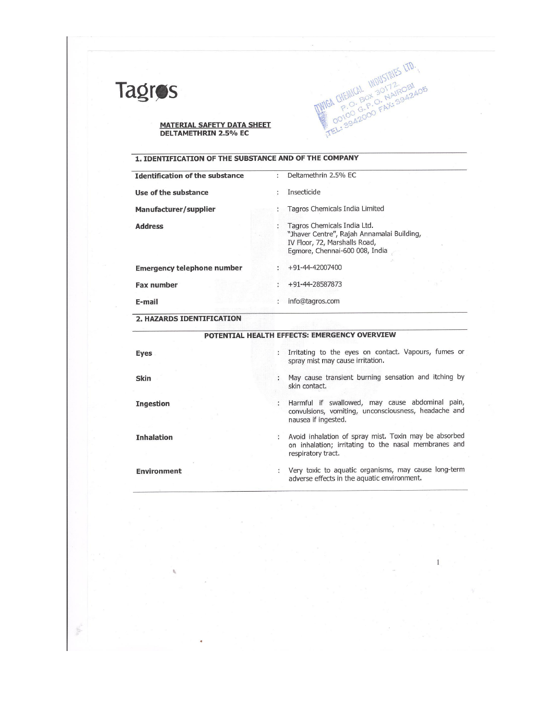

Ē.

## **MATERIAL SAFETY DATA SHEET<br>DELTAMETHRIN 2.5% EC**

#### 1. IDENTIFICATION OF THE SUBSTANCE AND OF THE COMPANY

| <b>Insecticide</b><br>Use of the substance<br>Tagros Chemicals India Limited<br>Manufacturer/supplier<br>Tagros Chemicals India Ltd.<br><b>Address</b><br>"Jhaver Centre", Rajah Annamalai Building,<br>IV Floor, 72, Marshalls Road,<br>Egmore, Chennai-600 008, India<br>+91-44-42007400<br><b>Emergency telephone number</b><br>+91-44-28587873<br><b>Fax number</b> | <b>Identification of the substance</b> | Deltamethrin 2.5% EC |  |
|-------------------------------------------------------------------------------------------------------------------------------------------------------------------------------------------------------------------------------------------------------------------------------------------------------------------------------------------------------------------------|----------------------------------------|----------------------|--|
|                                                                                                                                                                                                                                                                                                                                                                         |                                        |                      |  |
|                                                                                                                                                                                                                                                                                                                                                                         |                                        |                      |  |
|                                                                                                                                                                                                                                                                                                                                                                         |                                        |                      |  |
|                                                                                                                                                                                                                                                                                                                                                                         |                                        |                      |  |
|                                                                                                                                                                                                                                                                                                                                                                         |                                        |                      |  |
| info@tagros.com<br>E-mail                                                                                                                                                                                                                                                                                                                                               |                                        |                      |  |

MIGA CHEMICAL INDUSTRIES LTD.

 $\,$  I

2. HAZARDS IDENTIFICATION

 $\theta_{\rm c}$ 

| <b>POTENTIAL HEALTH EFFECTS: EMERGENCY OVERVIEW</b> |   |                                                                                                                                     |  |
|-----------------------------------------------------|---|-------------------------------------------------------------------------------------------------------------------------------------|--|
| <b>Eyes</b>                                         |   | : Irritating to the eyes on contact. Vapours, fumes or<br>spray mist may cause irritation.                                          |  |
| <b>Skin</b>                                         |   | May cause transient burning sensation and itching by<br>skin contact.                                                               |  |
| <b>Ingestion</b>                                    |   | Harmful if swallowed, may cause abdominal pain,<br>convulsions, vomiting, unconsciousness, headache and<br>nausea if ingested.      |  |
| <b>Inhalation</b>                                   | ÷ | Avoid inhalation of spray mist. Toxin may be absorbed<br>on inhalation; irritating to the nasal membranes and<br>respiratory tract. |  |
| <b>Environment</b>                                  | ÷ | Very toxic to aquatic organisms, may cause long-term<br>adverse effects in the aquatic environment.                                 |  |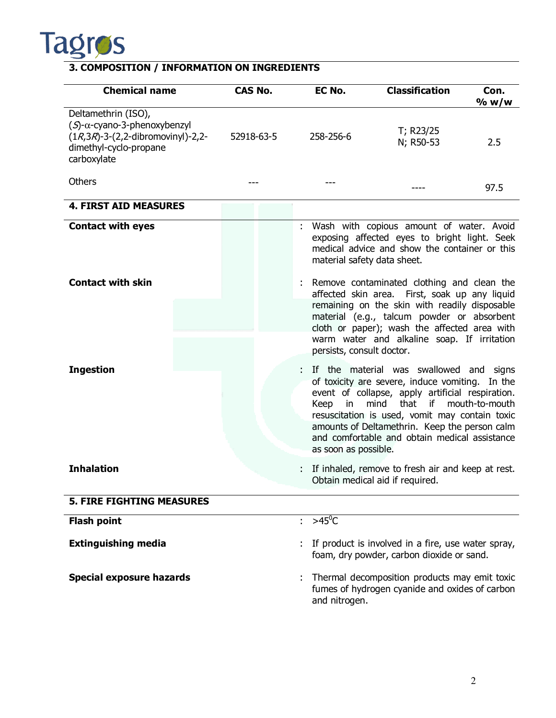

#### **3. COMPOSITION / INFORMATION ON INGREDIENTS**

| <b>Chemical name</b>                                                                                                                                  | <b>CAS No.</b> |  |    | EC No.                                                                                                                                      | <b>Classification</b>                                                                                                                                                                                                                                                                                              | Con.<br>% w/w     |
|-------------------------------------------------------------------------------------------------------------------------------------------------------|----------------|--|----|---------------------------------------------------------------------------------------------------------------------------------------------|--------------------------------------------------------------------------------------------------------------------------------------------------------------------------------------------------------------------------------------------------------------------------------------------------------------------|-------------------|
| Deltamethrin (ISO),<br>$(S)$ - $\alpha$ -cyano-3-phenoxybenzyl<br>$(1R, 3R)$ -3- $(2, 2$ -dibromovinyl)-2,2-<br>dimethyl-cyclo-propane<br>carboxylate | 52918-63-5     |  |    | 258-256-6                                                                                                                                   | T; R23/25<br>N; R50-53                                                                                                                                                                                                                                                                                             | 2.5               |
| <b>Others</b>                                                                                                                                         |                |  |    |                                                                                                                                             | ----                                                                                                                                                                                                                                                                                                               | 97.5              |
| <b>4. FIRST AID MEASURES</b>                                                                                                                          |                |  |    |                                                                                                                                             |                                                                                                                                                                                                                                                                                                                    |                   |
| <b>Contact with eyes</b>                                                                                                                              |                |  |    | material safety data sheet.                                                                                                                 | Wash with copious amount of water. Avoid<br>exposing affected eyes to bright light. Seek<br>medical advice and show the container or this                                                                                                                                                                          |                   |
| <b>Contact with skin</b>                                                                                                                              |                |  |    |                                                                                                                                             | Remove contaminated clothing and clean the<br>affected skin area. First, soak up any liquid                                                                                                                                                                                                                        |                   |
|                                                                                                                                                       |                |  |    | remaining on the skin with readily disposable<br>material (e.g., talcum powder or absorbent<br>cloth or paper); wash the affected area with |                                                                                                                                                                                                                                                                                                                    |                   |
|                                                                                                                                                       |                |  |    | persists, consult doctor.                                                                                                                   | warm water and alkaline soap. If irritation                                                                                                                                                                                                                                                                        |                   |
| <b>Ingestion</b>                                                                                                                                      |                |  |    | Keep in<br>as soon as possible.                                                                                                             | If the material was swallowed and signs<br>of toxicity are severe, induce vomiting. In the<br>event of collapse, apply artificial respiration.<br>that<br>mind<br>resuscitation is used, vomit may contain toxic<br>amounts of Deltamethrin. Keep the person calm<br>and comfortable and obtain medical assistance | if mouth-to-mouth |
| <b>Inhalation</b>                                                                                                                                     |                |  |    |                                                                                                                                             | If inhaled, remove to fresh air and keep at rest.<br>Obtain medical aid if required.                                                                                                                                                                                                                               |                   |
| <b>5. FIRE FIGHTING MEASURES</b>                                                                                                                      |                |  |    |                                                                                                                                             |                                                                                                                                                                                                                                                                                                                    |                   |
| <b>Flash point</b>                                                                                                                                    |                |  | t. | $>45^{\circ}$ C                                                                                                                             |                                                                                                                                                                                                                                                                                                                    |                   |
| <b>Extinguishing media</b>                                                                                                                            |                |  |    |                                                                                                                                             | If product is involved in a fire, use water spray,<br>foam, dry powder, carbon dioxide or sand.                                                                                                                                                                                                                    |                   |
| <b>Special exposure hazards</b>                                                                                                                       |                |  |    | and nitrogen.                                                                                                                               | Thermal decomposition products may emit toxic<br>fumes of hydrogen cyanide and oxides of carbon                                                                                                                                                                                                                    |                   |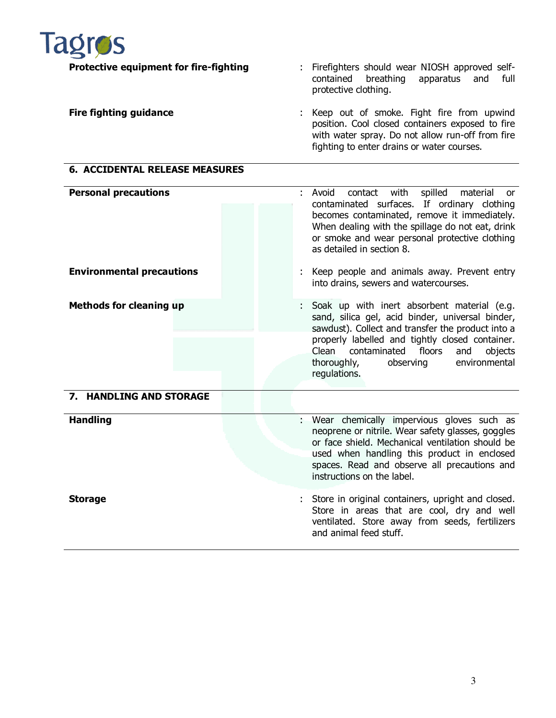| Tagros<br><b>Protective equipment for fire-fighting</b> | Firefighters should wear NIOSH approved self-<br>÷.<br>contained breathing<br>apparatus and full<br>protective clothing.                                                                          |
|---------------------------------------------------------|---------------------------------------------------------------------------------------------------------------------------------------------------------------------------------------------------|
| <b>Fire fighting guidance</b>                           | : Keep out of smoke. Fight fire from upwind<br>position. Cool closed containers exposed to fire<br>with water spray. Do not allow run-off from fire<br>fighting to enter drains or water courses. |
| <b>6. ACCIDENTAL RELEASE MEASURES</b>                   |                                                                                                                                                                                                   |

| <b>Personal precautions</b><br><b>Environmental precautions</b> | contact with spilled<br>Avoid<br>material or<br>contaminated surfaces. If ordinary clothing<br>becomes contaminated, remove it immediately.<br>When dealing with the spillage do not eat, drink<br>or smoke and wear personal protective clothing<br>as detailed in section 8.<br>: Keep people and animals away. Prevent entry<br>into drains, sewers and watercourses. |
|-----------------------------------------------------------------|--------------------------------------------------------------------------------------------------------------------------------------------------------------------------------------------------------------------------------------------------------------------------------------------------------------------------------------------------------------------------|
| <b>Methods for cleaning up</b>                                  | : Soak up with inert absorbent material (e.g.<br>sand, silica gel, acid binder, universal binder,<br>sawdust). Collect and transfer the product into a<br>properly labelled and tightly closed container.<br>Clean contaminated floors<br>objects<br>and<br>environmental<br>thoroughly, observing<br>regulations.                                                       |
| 7. HANDLING AND STORAGE                                         |                                                                                                                                                                                                                                                                                                                                                                          |

| <b>Handling</b> | : Wear chemically impervious gloves such as<br>neoprene or nitrile. Wear safety glasses, goggles<br>or face shield. Mechanical ventilation should be<br>used when handling this product in enclosed<br>spaces. Read and observe all precautions and<br>instructions on the label. |
|-----------------|-----------------------------------------------------------------------------------------------------------------------------------------------------------------------------------------------------------------------------------------------------------------------------------|
| <b>Storage</b>  | : Store in original containers, upright and closed.<br>Store in areas that are cool, dry and well                                                                                                                                                                                 |

ventilated. Store away from seeds, fertilizers

and animal feed stuff.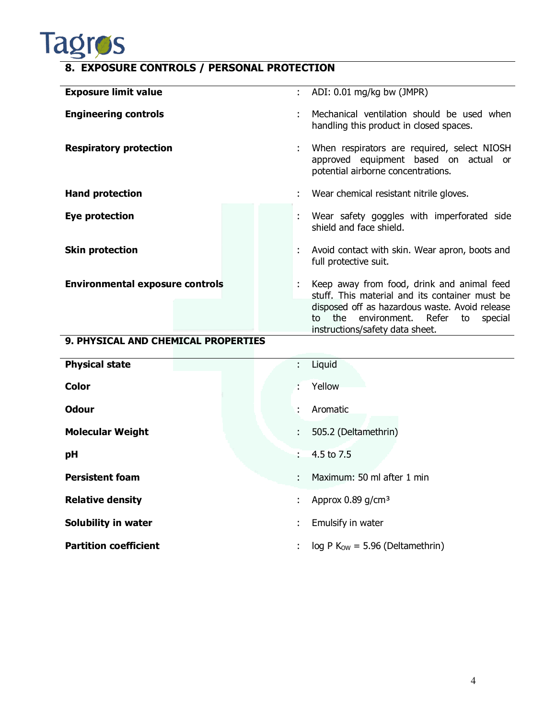

### **8. EXPOSURE CONTROLS / PERSONAL PROTECTION**

| <b>Exposure limit value</b>            | : ADI: $0.01 \text{ mg/kg}$ bw (JMPR)                                                                                           |
|----------------------------------------|---------------------------------------------------------------------------------------------------------------------------------|
| <b>Engineering controls</b>            | Mechanical ventilation should be used when<br>handling this product in closed spaces.                                           |
| <b>Respiratory protection</b>          | When respirators are required, select NIOSH<br>approved equipment based on actual or<br>potential airborne concentrations.      |
| <b>Hand protection</b>                 | Wear chemical resistant nitrile gloves.                                                                                         |
| Eye protection                         | : Wear safety goggles with imperforated side<br>shield and face shield.                                                         |
| <b>Skin protection</b>                 | : Avoid contact with skin. Wear apron, boots and<br>full protective suit.                                                       |
| <b>Environmental exposure controls</b> | Keep away from food, drink and animal feed<br>stuff. This material and its container must be                                    |
|                                        | disposed off as hazardous waste. Avoid release<br>to the environment. Refer<br>special<br>to<br>instructions/safety data sheet. |

#### **9. PHYSICAL AND CHEMICAL PROPERTIES**

| <b>Physical state</b>        | Liquid<br>÷.                           |
|------------------------------|----------------------------------------|
| <b>Color</b>                 | Yellow<br>٠.                           |
| <b>Odour</b>                 | Aromatic<br>٠                          |
| <b>Molecular Weight</b>      | 505.2 (Deltamethrin)<br>÷.             |
| рH                           | 4.5 to 7.5<br>÷.                       |
| <b>Persistent foam</b>       | Maximum: 50 ml after 1 min<br>÷        |
| <b>Relative density</b>      | Approx 0.89 $g/cm3$<br>÷               |
| Solubility in water          | Emulsify in water<br>÷.                |
| <b>Partition coefficient</b> | $log P Kow = 5.96 (Deltamethrin)$<br>÷ |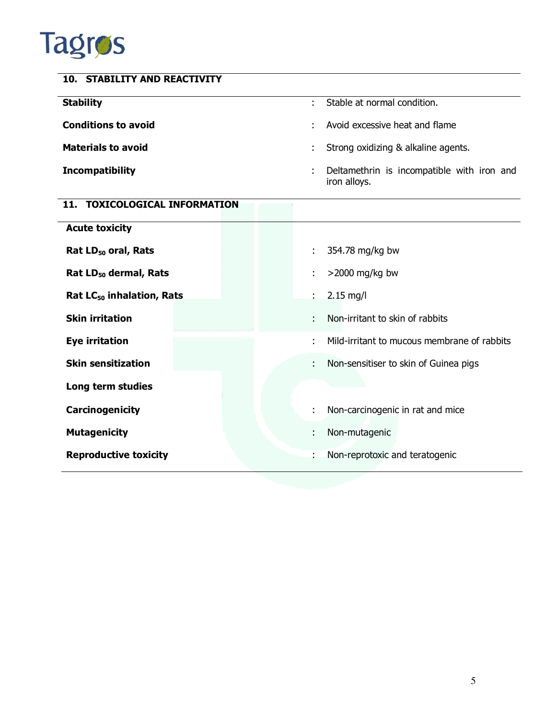# **Tagros**

| <b>STABILITY AND REACTIVITY</b><br>10. |                                                                 |
|----------------------------------------|-----------------------------------------------------------------|
| <b>Stability</b>                       | Stable at normal condition.                                     |
| <b>Conditions to avoid</b>             | Avoid excessive heat and flame<br>÷                             |
| <b>Materials to avoid</b>              | Strong oxidizing & alkaline agents.                             |
| <b>Incompatibility</b>                 | Deltamethrin is incompatible with iron and<br>÷<br>iron alloys. |
| <b>TOXICOLOGICAL INFORMATION</b>       |                                                                 |

| <b>Acute toxicity</b>                 |                                                             |
|---------------------------------------|-------------------------------------------------------------|
| Rat LD <sub>50</sub> oral, Rats       | 354.78 mg/kg bw<br>t.                                       |
| Rat $LD_{50}$ dermal, Rats            | $>$ 2000 mg/kg bw<br>÷.                                     |
| Rat LC <sub>50</sub> inhalation, Rats | $2.15$ mg/l<br>$\mathbf{L}$                                 |
| <b>Skin irritation</b>                | Non-irritant to skin of rabbits<br>÷.                       |
| <b>Eye irritation</b>                 | Mild-irritant to mucous membrane of rabbits<br>$\mathbf{r}$ |
| <b>Skin sensitization</b>             | Non-sensitiser to skin of Guinea pigs<br>÷.                 |
| Long term studies                     |                                                             |
| Carcinogenicity                       | Non-carcinogenic in rat and mice<br>÷                       |
| <b>Mutagenicity</b>                   | Non-mutagenic<br>÷                                          |
| <b>Reproductive toxicity</b>          | Non-reprotoxic and teratogenic<br>٠                         |
|                                       |                                                             |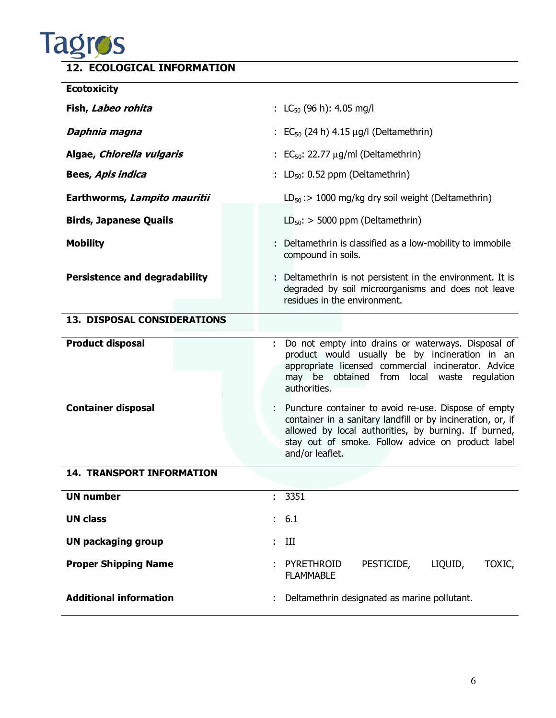

### **12. ECOLOGICAL INFORMATION**

| <b>Ecotoxicity</b>                   |                                                                                                                                                                                                                                                     |
|--------------------------------------|-----------------------------------------------------------------------------------------------------------------------------------------------------------------------------------------------------------------------------------------------------|
| Fish, Labeo rohita                   | : LC <sub>50</sub> (96 h): 4.05 mg/l                                                                                                                                                                                                                |
| Daphnia magna                        | : $EC_{50}$ (24 h) 4.15 $\mu$ g/l (Deltamethrin)                                                                                                                                                                                                    |
| Algae, Chlorella vulgaris            | $\colon$ EC <sub>50</sub> : 22.77 $\mu$ g/ml (Deltamethrin)                                                                                                                                                                                         |
| Bees, Apis indica                    | : $LD_{50}$ : 0.52 ppm (Deltamethrin)                                                                                                                                                                                                               |
| Earthworms, Lampito mauritii         | $LD_{50}$ : > 1000 mg/kg dry soil weight (Deltamethrin)                                                                                                                                                                                             |
| <b>Birds, Japanese Quails</b>        | $LD_{50}$ : > 5000 ppm (Deltamethrin)                                                                                                                                                                                                               |
| <b>Mobility</b>                      | : Deltamethrin is classified as a low-mobility to immobile<br>compound in soils.                                                                                                                                                                    |
| <b>Persistence and degradability</b> | : Deltamethrin is not persistent in the environment. It is<br>degraded by soil microorganisms and does not leave<br>residues in the environment.                                                                                                    |
| <b>13. DISPOSAL CONSIDERATIONS</b>   |                                                                                                                                                                                                                                                     |
| <b>Product disposal</b>              | Do not empty into drains or waterways. Disposal of<br>product would usually be by incineration in an<br>appropriate licensed commercial incinerator. Advice<br>may be obtained from local waste regulation<br>authorities.                          |
| <b>Container disposal</b>            | Puncture container to avoid re-use. Dispose of empty<br>container in a sanitary landfill or by incineration, or, if<br>allowed by local authorities, by burning. If burned,<br>stay out of smoke. Follow advice on product label<br>and/or leaflet. |
| <b>14. TRANSPORT INFORMATION</b>     |                                                                                                                                                                                                                                                     |
| <b>UN number</b>                     | 3351<br>t.                                                                                                                                                                                                                                          |
| <b>UN class</b>                      | 6.1<br>$\mathbb{Z}^{\mathbb{Z}}$                                                                                                                                                                                                                    |
| <b>UN packaging group</b>            | III                                                                                                                                                                                                                                                 |
| <b>Proper Shipping Name</b>          | PESTICIDE,<br>LIQUID,<br>PYRETHROID<br>TOXIC,<br><b>FLAMMABLE</b>                                                                                                                                                                                   |
| <b>Additional information</b>        | Deltamethrin designated as marine pollutant.                                                                                                                                                                                                        |